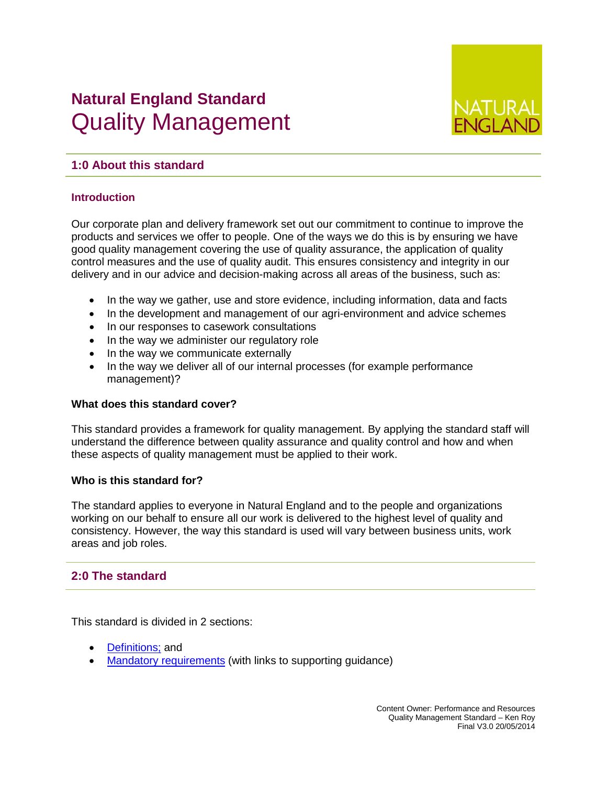# **Natural England Standard**  Quality Management



## **1:0 About this standard**

## **Introduction**

Our corporate plan and delivery framework set out our commitment to continue to improve the products and services we offer to people. One of the ways we do this is by ensuring we have good quality management covering the use of quality assurance, the application of quality control measures and the use of quality audit. This ensures consistency and integrity in our delivery and in our advice and decision-making across all areas of the business, such as:

- In the way we gather, use and store evidence, including information, data and facts
- In the development and management of our agri-environment and advice schemes
- In our responses to casework consultations
- In the way we administer our regulatory role
- In the way we communicate externally
- In the way we deliver all of our internal processes (for example performance management)?

### **What does this standard cover?**

This standard provides a framework for quality management. By applying the standard staff will understand the difference between quality assurance and quality control and how and when these aspects of quality management must be applied to their work.

#### **Who is this standard for?**

The standard applies to everyone in Natural England and to the people and organizations working on our behalf to ensure all our work is delivered to the highest level of quality and consistency. However, the way this standard is used will vary between business units, work areas and job roles.

## **2:0 The standard**

This standard is divided in 2 sections:

- [Definitions;](#page-1-0) and
- [Mandatory requirements](#page-1-1) (with links to supporting guidance)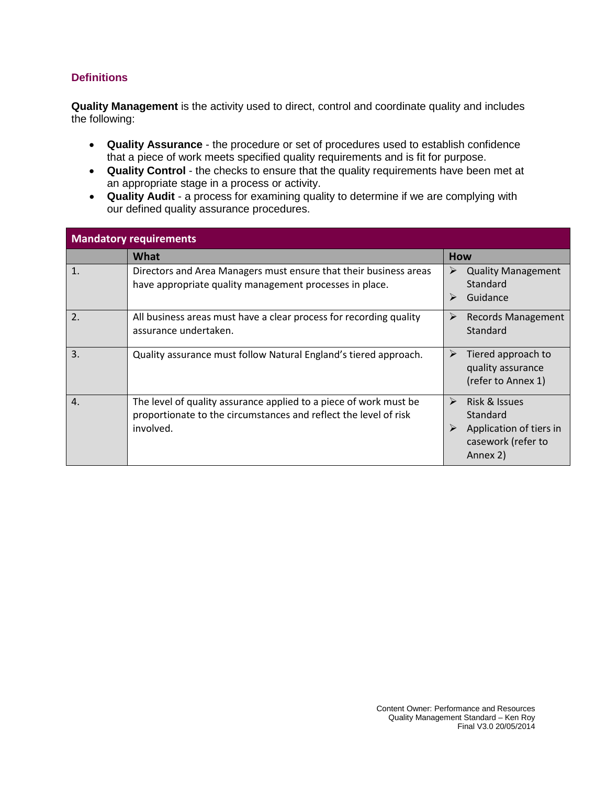## <span id="page-1-0"></span>**Definitions**

**Quality Management** is the activity used to direct, control and coordinate quality and includes the following:

- **Quality Assurance**  the procedure or set of procedures used to establish confidence that a piece of work meets specified quality requirements and is fit for purpose.
- **Quality Control** the checks to ensure that the quality requirements have been met at an appropriate stage in a process or activity.
- **Quality Audit**  a process for examining quality to determine if we are complying with our defined quality assurance procedures.

<span id="page-1-1"></span>

| <b>Mandatory requirements</b> |                                                                                                                                                    |                                                                                             |  |  |  |
|-------------------------------|----------------------------------------------------------------------------------------------------------------------------------------------------|---------------------------------------------------------------------------------------------|--|--|--|
|                               | <b>What</b>                                                                                                                                        | <b>How</b>                                                                                  |  |  |  |
| $\mathbf{1}$ .                | Directors and Area Managers must ensure that their business areas<br>have appropriate quality management processes in place.                       | <b>Quality Management</b><br>➤<br>Standard<br>Guidance<br>➤                                 |  |  |  |
| 2.                            | All business areas must have a clear process for recording quality<br>assurance undertaken.                                                        | <b>Records Management</b><br>➤<br>Standard                                                  |  |  |  |
| $\overline{3}$ .              | Quality assurance must follow Natural England's tiered approach.                                                                                   | Tiered approach to<br>➤<br>quality assurance<br>(refer to Annex 1)                          |  |  |  |
| $\overline{4}$ .              | The level of quality assurance applied to a piece of work must be<br>proportionate to the circumstances and reflect the level of risk<br>involved. | Risk & Issues<br>➤<br>Standard<br>Application of tiers in<br>casework (refer to<br>Annex 2) |  |  |  |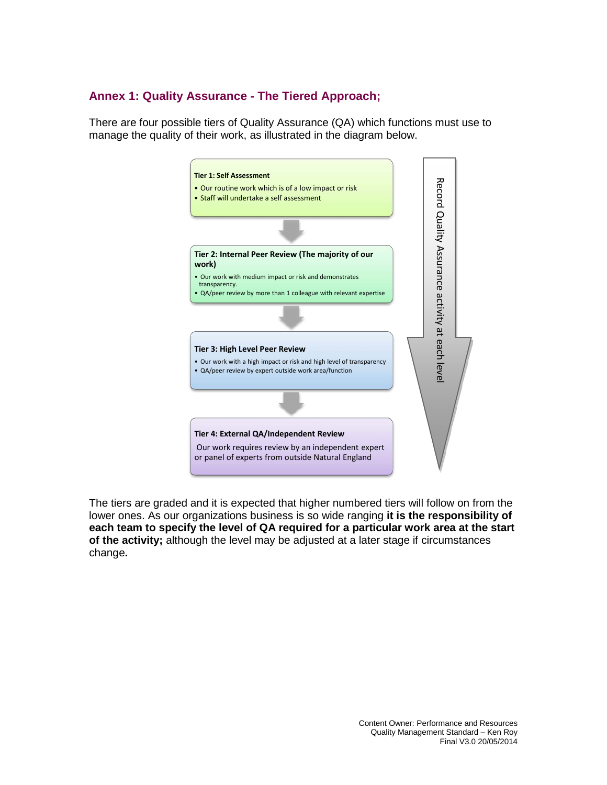# **Annex 1: Quality Assurance - The Tiered Approach;**

There are four possible tiers of Quality Assurance (QA) which functions must use to manage the quality of their work, as illustrated in the diagram below.



The tiers are graded and it is expected that higher numbered tiers will follow on from the lower ones. As our organizations business is so wide ranging **it is the responsibility of each team to specify the level of QA required for a particular work area at the start of the activity;** although the level may be adjusted at a later stage if circumstances change**.**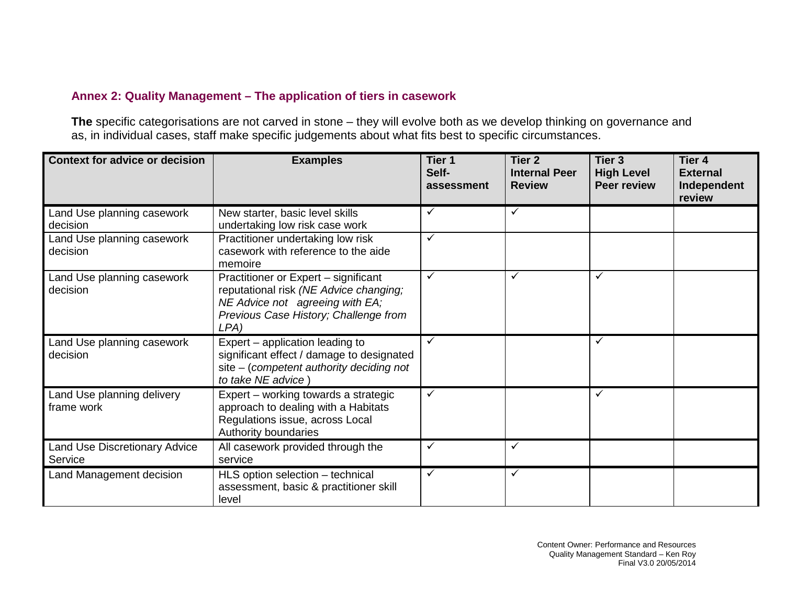# **Annex 2: Quality Management – The application of tiers in casework**

**The** specific categorisations are not carved in stone – they will evolve both as we develop thinking on governance and as, in individual cases, staff make specific judgements about what fits best to specific circumstances.

| <b>Context for advice or decision</b>    | <b>Examples</b>                                                                                                                                                    | Tier <sub>1</sub><br>Self-<br>assessment | Tier <sub>2</sub><br><b>Internal Peer</b><br><b>Review</b> | Tier <sub>3</sub><br><b>High Level</b><br><b>Peer review</b> | Tier 4<br><b>External</b><br>Independent<br>review |
|------------------------------------------|--------------------------------------------------------------------------------------------------------------------------------------------------------------------|------------------------------------------|------------------------------------------------------------|--------------------------------------------------------------|----------------------------------------------------|
| Land Use planning casework<br>decision   | New starter, basic level skills<br>undertaking low risk case work                                                                                                  | $\checkmark$                             | $\checkmark$                                               |                                                              |                                                    |
| Land Use planning casework<br>decision   | Practitioner undertaking low risk<br>casework with reference to the aide<br>memoire                                                                                | $\checkmark$                             |                                                            |                                                              |                                                    |
| Land Use planning casework<br>decision   | Practitioner or Expert - significant<br>reputational risk (NE Advice changing;<br>NE Advice not agreeing with EA;<br>Previous Case History; Challenge from<br>LPA) | $\checkmark$                             | ✓                                                          | ✓                                                            |                                                    |
| Land Use planning casework<br>decision   | Expert – application leading to<br>significant effect / damage to designated<br>$site$ – (competent authority deciding not<br>to take NE advice)                   | $\checkmark$                             |                                                            | ✓                                                            |                                                    |
| Land Use planning delivery<br>frame work | Expert - working towards a strategic<br>approach to dealing with a Habitats<br>Regulations issue, across Local<br>Authority boundaries                             | $\checkmark$                             |                                                            | ✓                                                            |                                                    |
| Land Use Discretionary Advice<br>Service | All casework provided through the<br>service                                                                                                                       | $\checkmark$                             | $\checkmark$                                               |                                                              |                                                    |
| Land Management decision                 | HLS option selection - technical<br>assessment, basic & practitioner skill<br>level                                                                                | $\checkmark$                             | $\checkmark$                                               |                                                              |                                                    |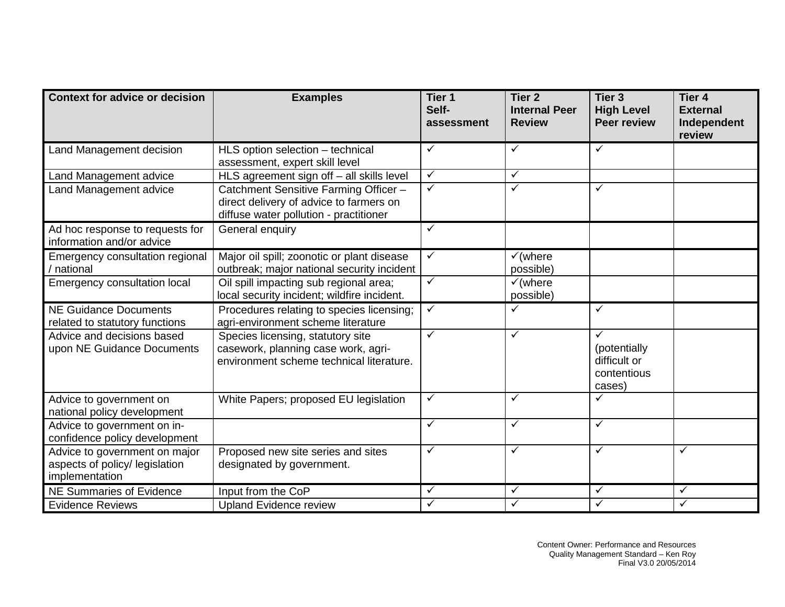| <b>Context for advice or decision</b>                                             | <b>Examples</b>                                                                                                            | Tier <sub>1</sub><br>Self-<br>assessment | Tier <sub>2</sub><br><b>Internal Peer</b><br><b>Review</b> | Tier <sub>3</sub><br><b>High Level</b><br><b>Peer review</b>          | Tier <sub>4</sub><br><b>External</b><br>Independent<br>review |
|-----------------------------------------------------------------------------------|----------------------------------------------------------------------------------------------------------------------------|------------------------------------------|------------------------------------------------------------|-----------------------------------------------------------------------|---------------------------------------------------------------|
| Land Management decision                                                          | HLS option selection - technical<br>assessment, expert skill level                                                         | $\checkmark$                             | $\checkmark$                                               | $\checkmark$                                                          |                                                               |
| Land Management advice                                                            | HLS agreement sign off - all skills level                                                                                  | $\checkmark$                             | ✓                                                          |                                                                       |                                                               |
| Land Management advice                                                            | Catchment Sensitive Farming Officer -<br>direct delivery of advice to farmers on<br>diffuse water pollution - practitioner | $\checkmark$                             | $\checkmark$                                               | $\checkmark$                                                          |                                                               |
| Ad hoc response to requests for<br>information and/or advice                      | General enquiry                                                                                                            | $\checkmark$                             |                                                            |                                                                       |                                                               |
| Emergency consultation regional<br>/ national                                     | Major oil spill; zoonotic or plant disease<br>outbreak; major national security incident                                   | $\checkmark$                             | $\checkmark$ (where<br>possible)                           |                                                                       |                                                               |
| Emergency consultation local                                                      | Oil spill impacting sub regional area;<br>local security incident; wildfire incident.                                      | $\checkmark$                             | $\checkmark$ (where<br>possible)                           |                                                                       |                                                               |
| <b>NE Guidance Documents</b><br>related to statutory functions                    | Procedures relating to species licensing;<br>agri-environment scheme literature                                            | $\checkmark$                             | ✓                                                          | $\checkmark$                                                          |                                                               |
| Advice and decisions based<br>upon NE Guidance Documents                          | Species licensing, statutory site<br>casework, planning case work, agri-<br>environment scheme technical literature.       | $\checkmark$                             | $\checkmark$                                               | $\checkmark$<br>(potentially<br>difficult or<br>contentious<br>cases) |                                                               |
| Advice to government on<br>national policy development                            | White Papers; proposed EU legislation                                                                                      | $\checkmark$                             | ✓                                                          | ✓                                                                     |                                                               |
| Advice to government on in-<br>confidence policy development                      |                                                                                                                            | $\checkmark$                             | $\checkmark$                                               | $\checkmark$                                                          |                                                               |
| Advice to government on major<br>aspects of policy/ legislation<br>implementation | Proposed new site series and sites<br>designated by government.                                                            | $\checkmark$                             | $\checkmark$                                               | $\checkmark$                                                          | ✓                                                             |
| <b>NE Summaries of Evidence</b>                                                   | Input from the CoP                                                                                                         | $\checkmark$                             | $\checkmark$                                               | $\checkmark$                                                          | ✓                                                             |
| <b>Evidence Reviews</b>                                                           | <b>Upland Evidence review</b>                                                                                              | $\checkmark$                             | $\checkmark$                                               | $\checkmark$                                                          | ✓                                                             |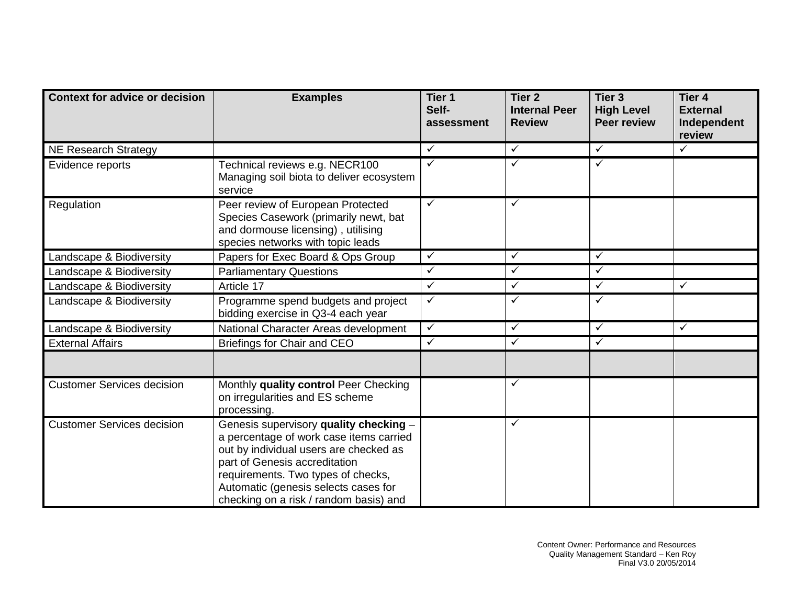| <b>Context for advice or decision</b> | <b>Examples</b>                                                                                                                                                                                                                                                                      | Tier <sub>1</sub><br>Self-<br>assessment | Tier <sub>2</sub><br><b>Internal Peer</b><br><b>Review</b> | Tier <sub>3</sub><br><b>High Level</b><br><b>Peer review</b> | Tier <sub>4</sub><br><b>External</b><br>Independent<br>review |
|---------------------------------------|--------------------------------------------------------------------------------------------------------------------------------------------------------------------------------------------------------------------------------------------------------------------------------------|------------------------------------------|------------------------------------------------------------|--------------------------------------------------------------|---------------------------------------------------------------|
| <b>NE Research Strategy</b>           |                                                                                                                                                                                                                                                                                      | $\checkmark$                             | $\sqrt{}$                                                  | $\sqrt{}$                                                    | $\checkmark$                                                  |
| Evidence reports                      | Technical reviews e.g. NECR100<br>Managing soil biota to deliver ecosystem<br>service                                                                                                                                                                                                | $\checkmark$                             | ✓                                                          | $\checkmark$                                                 |                                                               |
| Regulation                            | Peer review of European Protected<br>Species Casework (primarily newt, bat<br>and dormouse licensing), utilising<br>species networks with topic leads                                                                                                                                | $\checkmark$                             | $\checkmark$                                               |                                                              |                                                               |
| Landscape & Biodiversity              | Papers for Exec Board & Ops Group                                                                                                                                                                                                                                                    | $\checkmark$                             | $\checkmark$                                               | $\checkmark$                                                 |                                                               |
| Landscape & Biodiversity              | <b>Parliamentary Questions</b>                                                                                                                                                                                                                                                       | $\checkmark$                             | $\checkmark$                                               | $\checkmark$                                                 |                                                               |
| Landscape & Biodiversity              | Article 17                                                                                                                                                                                                                                                                           | ✓                                        | ✓                                                          | $\checkmark$                                                 | ✓                                                             |
| Landscape & Biodiversity              | Programme spend budgets and project<br>bidding exercise in Q3-4 each year                                                                                                                                                                                                            | $\checkmark$                             | $\checkmark$                                               | $\checkmark$                                                 |                                                               |
| Landscape & Biodiversity              | National Character Areas development                                                                                                                                                                                                                                                 | $\checkmark$                             | $\checkmark$                                               | $\checkmark$                                                 | $\checkmark$                                                  |
| <b>External Affairs</b>               | Briefings for Chair and CEO                                                                                                                                                                                                                                                          | $\checkmark$                             | $\checkmark$                                               | $\checkmark$                                                 |                                                               |
|                                       |                                                                                                                                                                                                                                                                                      |                                          |                                                            |                                                              |                                                               |
| <b>Customer Services decision</b>     | Monthly quality control Peer Checking<br>on irregularities and ES scheme<br>processing.                                                                                                                                                                                              |                                          | $\checkmark$                                               |                                                              |                                                               |
| <b>Customer Services decision</b>     | Genesis supervisory quality checking -<br>a percentage of work case items carried<br>out by individual users are checked as<br>part of Genesis accreditation<br>requirements. Two types of checks,<br>Automatic (genesis selects cases for<br>checking on a risk / random basis) and |                                          | $\checkmark$                                               |                                                              |                                                               |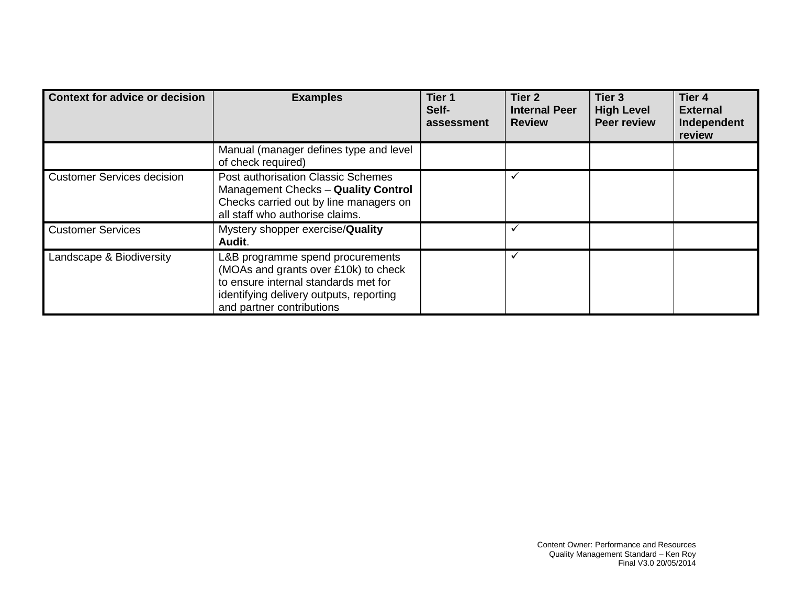| <b>Context for advice or decision</b> | <b>Examples</b>                                                                                                                                                                          | Tier <sub>1</sub><br>Self-<br>assessment | Tier <sub>2</sub><br><b>Internal Peer</b><br><b>Review</b> | Tier <sub>3</sub><br><b>High Level</b><br><b>Peer review</b> | Tier <sub>4</sub><br><b>External</b><br>Independent<br>review |
|---------------------------------------|------------------------------------------------------------------------------------------------------------------------------------------------------------------------------------------|------------------------------------------|------------------------------------------------------------|--------------------------------------------------------------|---------------------------------------------------------------|
|                                       | Manual (manager defines type and level<br>of check required)                                                                                                                             |                                          |                                                            |                                                              |                                                               |
| <b>Customer Services decision</b>     | Post authorisation Classic Schemes<br>Management Checks - Quality Control<br>Checks carried out by line managers on<br>all staff who authorise claims.                                   |                                          |                                                            |                                                              |                                                               |
| <b>Customer Services</b>              | Mystery shopper exercise/Quality<br>Audit.                                                                                                                                               |                                          |                                                            |                                                              |                                                               |
| Landscape & Biodiversity              | L&B programme spend procurements<br>(MOAs and grants over £10k) to check<br>to ensure internal standards met for<br>identifying delivery outputs, reporting<br>and partner contributions |                                          |                                                            |                                                              |                                                               |